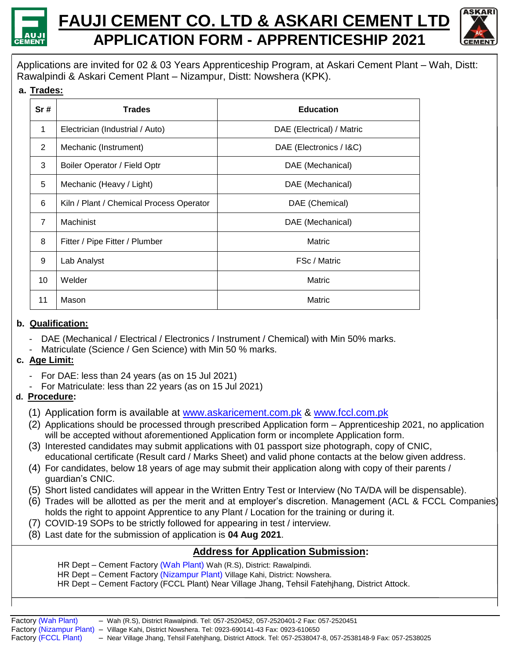

# **FAUJI CEMENT CO. LTD & ASKARI CEMENT LTD APPLICATION FORM - APPRENTICESHIP 2021**



 Applications are invited for 02 & 03 Years Apprenticeship Program, at Askari Cement Plant – Wah, Distt: Rawalpindi & Askari Cement Plant – Nizampur, Distt: Nowshera (KPK).

**a. Trades:**

| Sr#            | <b>Trades</b>                            | <b>Education</b>          |
|----------------|------------------------------------------|---------------------------|
| 1              | Electrician (Industrial / Auto)          | DAE (Electrical) / Matric |
| $\overline{2}$ | Mechanic (Instrument)                    | DAE (Electronics / I&C)   |
| 3              | Boiler Operator / Field Optr             | DAE (Mechanical)          |
| 5              | Mechanic (Heavy / Light)                 | DAE (Mechanical)          |
| 6              | Kiln / Plant / Chemical Process Operator | DAE (Chemical)            |
| $\overline{7}$ | Machinist                                | DAE (Mechanical)          |
| 8              | Fitter / Pipe Fitter / Plumber           | Matric                    |
| 9              | Lab Analyst                              | FSc / Matric              |
| 10             | Welder                                   | Matric                    |
| 11             | Mason                                    | Matric                    |

## **b. Qualification:**

- DAE (Mechanical / Electrical / Electronics / Instrument / Chemical) with Min 50% marks.
- Matriculate (Science / Gen Science) with Min 50 % marks.

## **c. Age Limit:**

- For DAE: less than 24 years (as on 15 Jul 2021)
	- For Matriculate: less than 22 years (as on 15 Jul 2021)

#### **d. Procedure:**

- (1) Application form is available at [www.askaricement.com.pk](http://www.askaricement.com.pk/) & [www.fccl.com.pk](http://www.fccl.com.pk/)
- (2) Applications should be processed through prescribed Application form Apprenticeship 2021, no application will be accepted without aforementioned Application form or incomplete Application form.
- (3) Interested candidates may submit applications with 01 passport size photograph, copy of CNIC, educational certificate (Result card / Marks Sheet) and valid phone contacts at the below given address.
- (4) For candidates, below 18 years of age may submit their application along with copy of their parents / guardian's CNIC.
- (5) Short listed candidates will appear in the Written Entry Test or Interview (No TA/DA will be dispensable).
- (6) Trades will be allotted as per the merit and at employer's discretion. Management (ACL & FCCL Companies) holds the right to appoint Apprentice to any Plant / Location for the training or during it.
- (7) COVID-19 SOPs to be strictly followed for appearing in test / interview.
- (8) Last date for the submission of application is **04 Aug 2021**.

## **Address for Application Submission:**

- HR Dept Cement Factory (Wah Plant) Wah (R.S), District: Rawalpindi.
- HR Dept Cement Factory (Nizampur Plant) Village Kahi, District: Nowshera.
- HR Dept Cement Factory (FCCL Plant) Near Village Jhang, Tehsil Fatehjhang, District Attock.